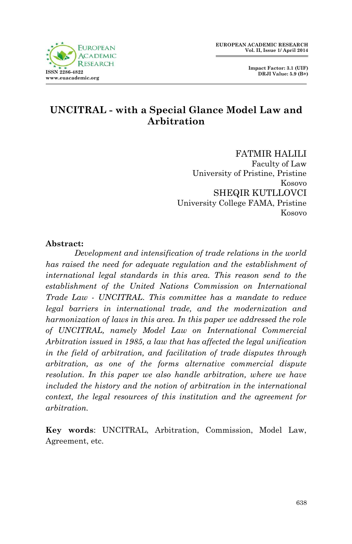

### **UNCITRAL - with a Special Glance Model Law and Arbitration**

FATMIR HALILI Faculty of Law University of Pristine, Pristine Kosovo SHEQIR KUTLLOVCI University College FAMA, Pristine Kosovo

#### **Abstract:**

*Development and intensification of trade relations in the world has raised the need for adequate regulation and the establishment of international legal standards in this area. This reason send to the establishment of the United Nations Commission on International Trade Law - UNCITRAL. This committee has a mandate to reduce legal barriers in international trade, and the modernization and harmonization of laws in this area. In this paper we addressed the role of UNCITRAL, namely Model Law on International Commercial Arbitration issued in 1985, a law that has affected the legal unification in the field of arbitration, and facilitation of trade disputes through arbitration, as one of the forms alternative commercial dispute resolution. In this paper we also handle arbitration, where we have included the history and the notion of arbitration in the international context, the legal resources of this institution and the agreement for arbitration.* 

**Key words**: UNCITRAL, Arbitration, Commission, Model Law, Agreement, etc.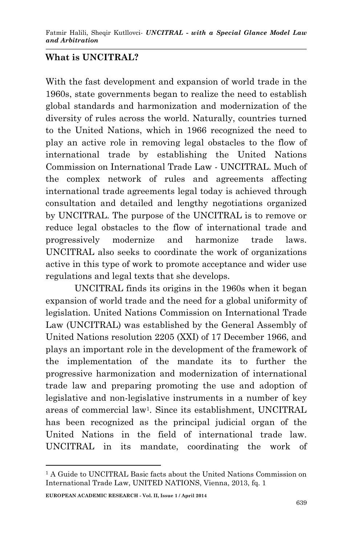# **What is UNCITRAL?**

With the fast development and expansion of world trade in the 1960s, state governments began to realize the need to establish global standards and harmonization and modernization of the diversity of rules across the world. Naturally, countries turned to the United Nations, which in 1966 recognized the need to play an active role in removing legal obstacles to the flow of international trade by establishing the United Nations Commission on International Trade Law - UNCITRAL. Much of the complex network of rules and agreements affecting international trade agreements legal today is achieved through consultation and detailed and lengthy negotiations organized by UNCITRAL. The purpose of the UNCITRAL is to remove or reduce legal obstacles to the flow of international trade and progressively modernize and harmonize trade laws. UNCITRAL also seeks to coordinate the work of organizations active in this type of work to promote acceptance and wider use regulations and legal texts that she develops.

UNCITRAL finds its origins in the 1960s when it began expansion of world trade and the need for a global uniformity of legislation. United Nations Commission on International Trade Law (UNCITRAL) was established by the General Assembly of United Nations resolution 2205 (XXI) of 17 December 1966, and plays an important role in the development of the framework of the implementation of the mandate its to further the progressive harmonization and modernization of international trade law and preparing promoting the use and adoption of legislative and non-legislative instruments in a number of key areas of commercial law<sup>1</sup> . Since its establishment, UNCITRAL has been recognized as the principal judicial organ of the United Nations in the field of international trade law. UNCITRAL in its mandate, coordinating the work of

1

<sup>&</sup>lt;sup>1</sup> A Guide to UNCITRAL Basic facts about the United Nations Commission on International Trade Law, UNITED NATIONS, Vienna, 2013, fq. 1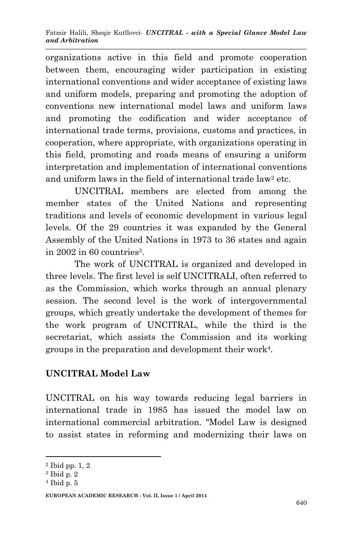organizations active in this field and promote cooperation between them, encouraging wider participation in existing international conventions and wider acceptance of existing laws and uniform models, preparing and promoting the adoption of conventions new international model laws and uniform laws and promoting the codification and wider acceptance of international trade terms, provisions, customs and practices, in cooperation, where appropriate, with organizations operating in this field, promoting and roads means of ensuring a uniform interpretation and implementation of international conventions and uniform laws in the field of international trade law<sup>2</sup> etc.

UNCITRAL members are elected from among the member states of the United Nations and representing traditions and levels of economic development in various legal levels. Of the 29 countries it was expanded by the General Assembly of the United Nations in 1973 to 36 states and again in 2002 in 60 countries<sup>3</sup>.

The work of UNCITRAL is organized and developed in three levels. The first level is self UNCITRALI, often referred to as the Commission, which works through an annual plenary session. The second level is the work of intergovernmental groups, which greatly undertake the development of themes for the work program of UNCITRAL, while the third is the secretariat, which assists the Commission and its working groups in the preparation and development their work<sup>4</sup> .

# **UNCITRAL Model Law**

UNCITRAL on his way towards reducing legal barriers in international trade in 1985 has issued the model law on international commercial arbitration. "Model Law is designed to assist states in reforming and modernizing their laws on

1

<sup>2</sup> Ibid pp. 1, 2

<sup>3</sup> Ibid p. 2

<sup>4</sup> Ibid p. 5

**EUROPEAN ACADEMIC RESEARCH - Vol. II, Issue 1 / April 2014**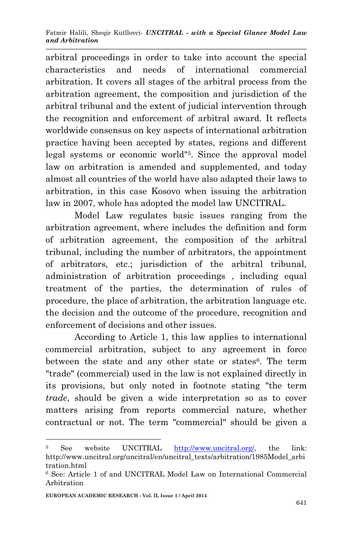arbitral proceedings in order to take into account the special characteristics and needs of international commercial arbitration. It covers all stages of the arbitral process from the arbitration agreement, the composition and jurisdiction of the arbitral tribunal and the extent of judicial intervention through the recognition and enforcement of arbitral award. It reflects worldwide consensus on key aspects of international arbitration practice having been accepted by states, regions and different legal systems or economic world"<sup>5</sup> . Since the approval model law on arbitration is amended and supplemented, and today almost all countries of the world have also adapted their laws to arbitration, in this case Kosovo when issuing the arbitration law in 2007, whole has adopted the model law UNCITRAL.

Model Law regulates basic issues ranging from the arbitration agreement, where includes the definition and form of arbitration agreement, the composition of the arbitral tribunal, including the number of arbitrators, the appointment of arbitrators, etc.; jurisdiction of the arbitral tribunal, administration of arbitration proceedings , including equal treatment of the parties, the determination of rules of procedure, the place of arbitration, the arbitration language etc. the decision and the outcome of the procedure, recognition and enforcement of decisions and other issues.

According to Article 1, this law applies to international commercial arbitration, subject to any agreement in force between the state and any other state or states<sup>6</sup>. The term "trade" (commercial) used in the law is not explained directly in its provisions, but only noted in footnote stating "the term *trade*, should be given a wide interpretation so as to cover matters arising from reports commercial nature, whether contractual or not. The term "commercial" should be given a

<sup>5</sup> See website UNCITRAL [http://www.uncitral.org/,](http://www.uncitral.org/) the link: http://www.uncitral.org/uncitral/en/uncitral\_texts/arbitration/1985Model\_arbi tration.html

<sup>6</sup> See: Article 1 of and UNCITRAL Model Law on International Commercial Arbitration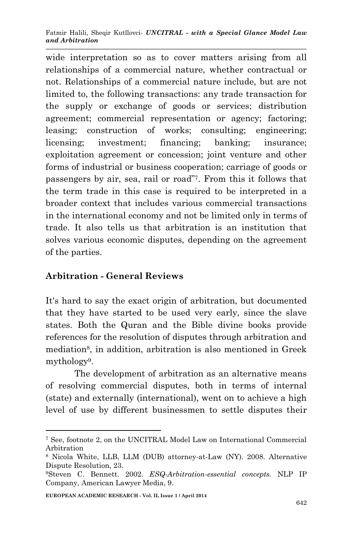wide interpretation so as to cover matters arising from all relationships of a commercial nature, whether contractual or not. Relationships of a commercial nature include, but are not limited to, the following transactions: any trade transaction for the supply or exchange of goods or services; distribution agreement; commercial representation or agency; factoring; leasing; construction of works; consulting; engineering; licensing; investment; financing; banking; insurance; exploitation agreement or concession; joint venture and other forms of industrial or business cooperation; carriage of goods or passengers by air, sea, rail or road"<sup>7</sup> . From this it follows that the term trade in this case is required to be interpreted in a broader context that includes various commercial transactions in the international economy and not be limited only in terms of trade. It also tells us that arbitration is an institution that solves various economic disputes, depending on the agreement of the parties.

### **Arbitration - General Reviews**

It's hard to say the exact origin of arbitration, but documented that they have started to be used very early, since the slave states. Both the Quran and the Bible divine books provide references for the resolution of disputes through arbitration and mediation<sup>8</sup>, in addition, arbitration is also mentioned in Greek mythology<sup>9</sup> .

The development of arbitration as an alternative means of resolving commercial disputes, both in terms of internal (state) and externally (international), went on to achieve a high level of use by different businessmen to settle disputes their

<sup>7</sup> See, footnote 2, on the UNCITRAL Model Law on International Commercial Arbitration

<sup>8</sup> Nicola White, LLB, LLM (DUB) attorney-at-Law (NY). 2008. Alternative Dispute Resolution, 23.

<sup>9</sup>Steven C. Bennett. 2002. *ESQ-Arbitration-essential concepts.* NLP IP Company, American Lawyer Media, 9.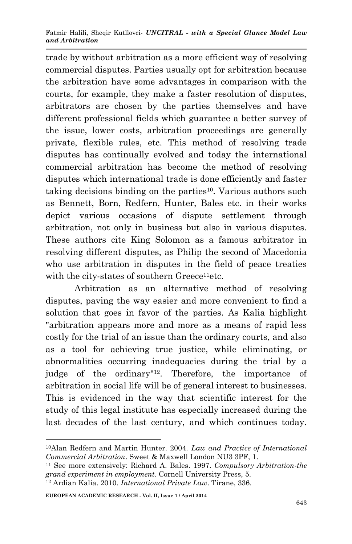trade by without arbitration as a more efficient way of resolving commercial disputes. Parties usually opt for arbitration because the arbitration have some advantages in comparison with the courts, for example, they make a faster resolution of disputes, arbitrators are chosen by the parties themselves and have different professional fields which guarantee a better survey of the issue, lower costs, arbitration proceedings are generally private, flexible rules, etc. This method of resolving trade disputes has continually evolved and today the international commercial arbitration has become the method of resolving disputes which international trade is done efficiently and faster taking decisions binding on the parties<sup>10</sup>. Various authors such as Bennett, Born, Redfern, Hunter, Bales etc. in their works depict various occasions of dispute settlement through arbitration, not only in business but also in various disputes. These authors cite King Solomon as a famous arbitrator in resolving different disputes, as Philip the second of Macedonia who use arbitration in disputes in the field of peace treaties with the city-states of southern Greece<sup>11</sup>etc.

Arbitration as an alternative method of resolving disputes, paving the way easier and more convenient to find a solution that goes in favor of the parties. As Kalia highlight "arbitration appears more and more as a means of rapid less costly for the trial of an issue than the ordinary courts, and also as a tool for achieving true justice, while eliminating, or abnormalities occurring inadequacies during the trial by a judge of the ordinary"12. Therefore, the importance of arbitration in social life will be of general interest to businesses. This is evidenced in the way that scientific interest for the study of this legal institute has especially increased during the last decades of the last century, and which continues today.

<sup>-</sup><sup>10</sup>Alan Redfern and Martin Hunter. 2004. *Law and Practice of International Commercial Arbitration*. Sweet & Maxwell London NU3 3PF, 1.

<sup>11</sup> See more extensively: Richard A. Bales. 1997. *Compulsory Arbitration-the grand experiment in employment*. Cornell University Press, 5.

<sup>12</sup> Ardian Kalia. 2010. *International Private Law*. Tirane, 336.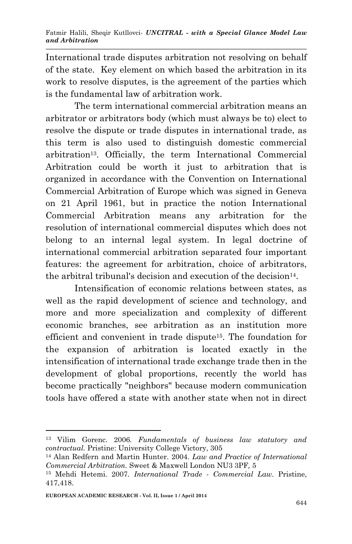International trade disputes arbitration not resolving on behalf of the state. Key element on which based the arbitration in its work to resolve disputes, is the agreement of the parties which is the fundamental law of arbitration work.

The term international commercial arbitration means an arbitrator or arbitrators body (which must always be to) elect to resolve the dispute or trade disputes in international trade, as this term is also used to distinguish domestic commercial arbitration13. Officially, the term International Commercial Arbitration could be worth it just to arbitration that is organized in accordance with the Convention on International Commercial Arbitration of Europe which was signed in Geneva on 21 April 1961, but in practice the notion International Commercial Arbitration means any arbitration for the resolution of international commercial disputes which does not belong to an internal legal system. In legal doctrine of international commercial arbitration separated four important features: the agreement for arbitration, choice of arbitrators, the arbitral tribunal's decision and execution of the decision<sup>14</sup>.

Intensification of economic relations between states, as well as the rapid development of science and technology, and more and more specialization and complexity of different economic branches, see arbitration as an institution more efficient and convenient in trade dispute15. The foundation for the expansion of arbitration is located exactly in the intensification of international trade exchange trade then in the development of global proportions, recently the world has become practically "neighbors" because modern communication tools have offered a state with another state when not in direct

<sup>13</sup> Vilim Gorenc. 2006*. Fundamentals of business law statutory and contractual.* Pristine: University College Victory, 305

<sup>14</sup> Alan Redfern and Martin Hunter. 2004. *Law and Practice of International Commercial Arbitration.* Sweet & Maxwell London NU3 3PF*,* 5

<sup>15</sup> Mehdi Hetemi. 2007. *International Trade - Commercial Law*. Pristine, 417,418.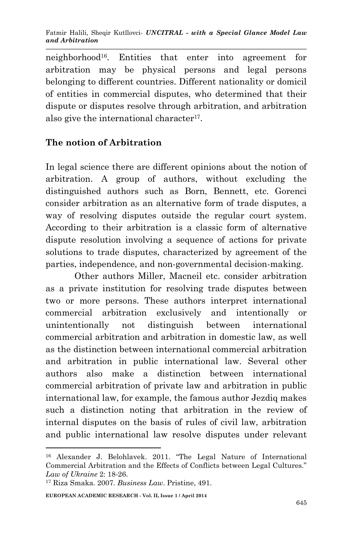neighborhood16. Entities that enter into agreement for arbitration may be physical persons and legal persons belonging to different countries. Different nationality or domicil of entities in commercial disputes, who determined that their dispute or disputes resolve through arbitration, and arbitration also give the international character<sup>17</sup>.

# **The notion of Arbitration**

In legal science there are different opinions about the notion of arbitration. A group of authors, without excluding the distinguished authors such as Born, Bennett, etc. Gorenci consider arbitration as an alternative form of trade disputes, a way of resolving disputes outside the regular court system. According to their arbitration is a classic form of alternative dispute resolution involving a sequence of actions for private solutions to trade disputes, characterized by agreement of the parties, independence, and non-governmental decision-making.

Other authors Miller, Macneil etc. consider arbitration as a private institution for resolving trade disputes between two or more persons. These authors interpret international commercial arbitration exclusively and intentionally or unintentionally not distinguish between international commercial arbitration and arbitration in domestic law, as well as the distinction between international commercial arbitration and arbitration in public international law. Several other authors also make a distinction between international commercial arbitration of private law and arbitration in public international law, for example, the famous author Jezdiq makes such a distinction noting that arbitration in the review of internal disputes on the basis of rules of civil law, arbitration and public international law resolve disputes under relevant

<sup>16</sup> Alexander J. Belohlavek. 2011. "The Legal Nature of International Commercial Arbitration and the Effects of Conflicts between Legal Cultures." *Law of Ukraine* 2: 18-26.

<sup>17</sup> Riza Smaka. 2007. *Business Law*. Pristine, 491.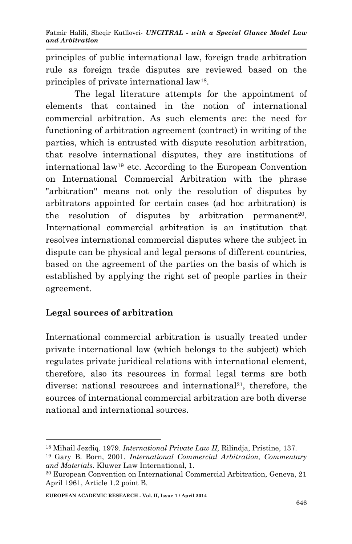principles of public international law, foreign trade arbitration rule as foreign trade disputes are reviewed based on the principles of private international law<sup>18</sup> .

The legal literature attempts for the appointment of elements that contained in the notion of international commercial arbitration. As such elements are: the need for functioning of arbitration agreement (contract) in writing of the parties, which is entrusted with dispute resolution arbitration, that resolve international disputes, they are institutions of international law<sup>19</sup> etc. According to the European Convention on International Commercial Arbitration with the phrase "arbitration" means not only the resolution of disputes by arbitrators appointed for certain cases (ad hoc arbitration) is the resolution of disputes by arbitration permanent<sup>20</sup>. International commercial arbitration is an institution that resolves international commercial disputes where the subject in dispute can be physical and legal persons of different countries, based on the agreement of the parties on the basis of which is established by applying the right set of people parties in their agreement.

# **Legal sources of arbitration**

-

International commercial arbitration is usually treated under private international law (which belongs to the subject) which regulates private juridical relations with international element, therefore, also its resources in formal legal terms are both diverse: national resources and international<sup>21</sup>, therefore, the sources of international commercial arbitration are both diverse national and international sources.

<sup>18</sup> Mihail Jezdiq. 1979. *International Private Law II,* Rilindja, Pristine, 137.

<sup>19</sup> Gary B. Born, 2001. *International Commercial Arbitration, Commentary and Materials*. Kluwer Law International, 1.

<sup>20</sup> European Convention on International Commercial Arbitration, Geneva, 21 April 1961, Article 1.2 point B.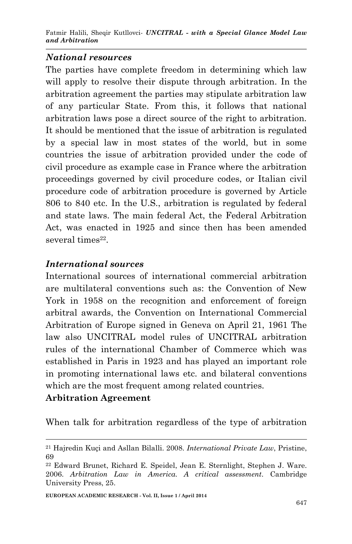#### *National resources*

The parties have complete freedom in determining which law will apply to resolve their dispute through arbitration. In the arbitration agreement the parties may stipulate arbitration law of any particular State. From this, it follows that national arbitration laws pose a direct source of the right to arbitration. It should be mentioned that the issue of arbitration is regulated by a special law in most states of the world, but in some countries the issue of arbitration provided under the code of civil procedure as example case in France where the arbitration proceedings governed by civil procedure codes, or Italian civil procedure code of arbitration procedure is governed by Article 806 to 840 etc. In the U.S., arbitration is regulated by federal and state laws. The main federal Act, the Federal Arbitration Act, was enacted in 1925 and since then has been amended several times<sup>22</sup>.

#### *International sources*

International sources of international commercial arbitration are multilateral conventions such as: the Convention of New York in 1958 on the recognition and enforcement of foreign arbitral awards, the Convention on International Commercial Arbitration of Europe signed in Geneva on April 21, 1961 The law also UNCITRAL model rules of UNCITRAL arbitration rules of the international Chamber of Commerce which was established in Paris in 1923 and has played an important role in promoting international laws etc. and bilateral conventions which are the most frequent among related countries.

#### **Arbitration Agreement**

**.** 

When talk for arbitration regardless of the type of arbitration

**EUROPEAN ACADEMIC RESEARCH - Vol. II, Issue 1 / April 2014**

<sup>21</sup> Hajredin Kuçi and Asllan Bilalli. 2008. *International Private Law*, Pristine, 69

<sup>22</sup> Edward Brunet, Richard E. Speidel, Jean E. Sternlight, Stephen J. Ware. 2006. *Arbitration Law in America. A critical assessment.* Cambridge University Press, 25.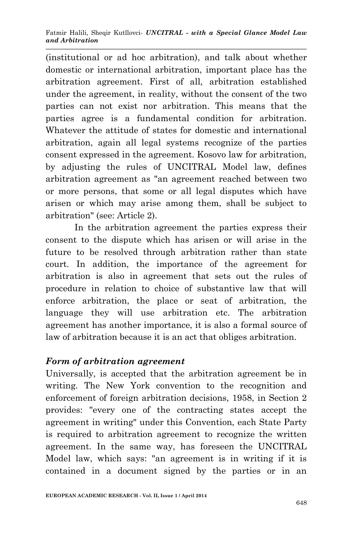(institutional or ad hoc arbitration), and talk about whether domestic or international arbitration, important place has the arbitration agreement. First of all, arbitration established under the agreement, in reality, without the consent of the two parties can not exist nor arbitration. This means that the parties agree is a fundamental condition for arbitration. Whatever the attitude of states for domestic and international arbitration, again all legal systems recognize of the parties consent expressed in the agreement. Kosovo law for arbitration, by adjusting the rules of UNCITRAL Model law, defines arbitration agreement as "an agreement reached between two or more persons, that some or all legal disputes which have arisen or which may arise among them, shall be subject to arbitration" (see: Article 2).

In the arbitration agreement the parties express their consent to the dispute which has arisen or will arise in the future to be resolved through arbitration rather than state court. In addition, the importance of the agreement for arbitration is also in agreement that sets out the rules of procedure in relation to choice of substantive law that will enforce arbitration, the place or seat of arbitration, the language they will use arbitration etc. The arbitration agreement has another importance, it is also a formal source of law of arbitration because it is an act that obliges arbitration.

#### *Form of arbitration agreement*

Universally, is accepted that the arbitration agreement be in writing. The New York convention to the recognition and enforcement of foreign arbitration decisions, 1958, in Section 2 provides: "every one of the contracting states accept the agreement in writing" under this Convention, each State Party is required to arbitration agreement to recognize the written agreement. In the same way, has foreseen the UNCITRAL Model law, which says: "an agreement is in writing if it is contained in a document signed by the parties or in an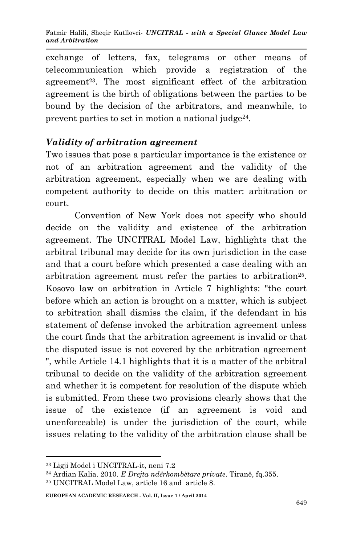exchange of letters, fax, telegrams or other means of telecommunication which provide a registration of the agreement<sup>23</sup>. The most significant effect of the arbitration agreement is the birth of obligations between the parties to be bound by the decision of the arbitrators, and meanwhile, to prevent parties to set in motion a national judge<sup>24</sup>.

### *Validity of arbitration agreement*

Two issues that pose a particular importance is the existence or not of an arbitration agreement and the validity of the arbitration agreement, especially when we are dealing with competent authority to decide on this matter: arbitration or court.

Convention of New York does not specify who should decide on the validity and existence of the arbitration agreement. The UNCITRAL Model Law, highlights that the arbitral tribunal may decide for its own jurisdiction in the case and that a court before which presented a case dealing with an arbitration agreement must refer the parties to arbitration<sup>25</sup>. Kosovo law on arbitration in Article 7 highlights: "the court before which an action is brought on a matter, which is subject to arbitration shall dismiss the claim, if the defendant in his statement of defense invoked the arbitration agreement unless the court finds that the arbitration agreement is invalid or that the disputed issue is not covered by the arbitration agreement ", while Article 14.1 highlights that it is a matter of the arbitral tribunal to decide on the validity of the arbitration agreement and whether it is competent for resolution of the dispute which is submitted. From these two provisions clearly shows that the issue of the existence (if an agreement is void and unenforceable) is under the jurisdiction of the court, while issues relating to the validity of the arbitration clause shall be

1

<sup>23</sup> Ligji Model i UNCITRAL-it, neni 7.2

<sup>24</sup> Ardian Kalia. 2010. *E Drejta ndërkombëtare private*. Tiranë, fq.355.

<sup>25</sup> UNCITRAL Model Law, article 16 and article 8.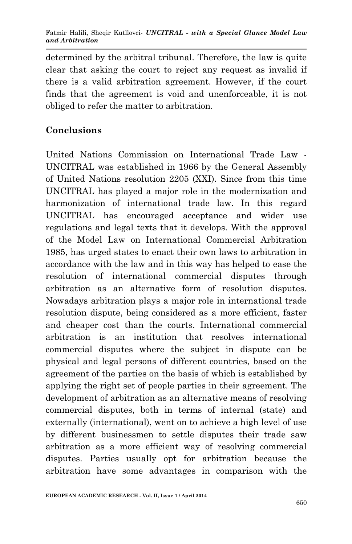determined by the arbitral tribunal. Therefore, the law is quite clear that asking the court to reject any request as invalid if there is a valid arbitration agreement. However, if the court finds that the agreement is void and unenforceable, it is not obliged to refer the matter to arbitration.

### **Conclusions**

United Nations Commission on International Trade Law - UNCITRAL was established in 1966 by the General Assembly of United Nations resolution 2205 (XXI). Since from this time UNCITRAL has played a major role in the modernization and harmonization of international trade law. In this regard UNCITRAL has encouraged acceptance and wider use regulations and legal texts that it develops. With the approval of the Model Law on International Commercial Arbitration 1985, has urged states to enact their own laws to arbitration in accordance with the law and in this way has helped to ease the resolution of international commercial disputes through arbitration as an alternative form of resolution disputes. Nowadays arbitration plays a major role in international trade resolution dispute, being considered as a more efficient, faster and cheaper cost than the courts. International commercial arbitration is an institution that resolves international commercial disputes where the subject in dispute can be physical and legal persons of different countries, based on the agreement of the parties on the basis of which is established by applying the right set of people parties in their agreement. The development of arbitration as an alternative means of resolving commercial disputes, both in terms of internal (state) and externally (international), went on to achieve a high level of use by different businessmen to settle disputes their trade saw arbitration as a more efficient way of resolving commercial disputes. Parties usually opt for arbitration because the arbitration have some advantages in comparison with the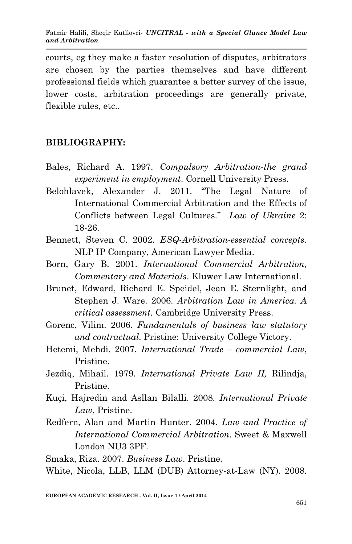courts, eg they make a faster resolution of disputes, arbitrators are chosen by the parties themselves and have different professional fields which guarantee a better survey of the issue, lower costs, arbitration proceedings are generally private, flexible rules, etc..

### **BIBLIOGRAPHY:**

- Bales, Richard A. 1997. *Compulsory Arbitration-the grand experiment in employment*. Cornell University Press.
- Belohlavek, Alexander J. 2011. "The Legal Nature of International Commercial Arbitration and the Effects of Conflicts between Legal Cultures." *Law of Ukraine* 2: 18-26.
- Bennett, Steven C. 2002. *ESQ-Arbitration-essential concepts.* NLP IP Company, American Lawyer Media.
- Born, Gary B. 2001. *International Commercial Arbitration, Commentary and Materials*. Kluwer Law International.
- Brunet, Edward, Richard E. Speidel, Jean E. Sternlight, and Stephen J. Ware. 2006. *Arbitration Law in America. A critical assessment.* Cambridge University Press.
- Gorenc, Vilim. 2006*. Fundamentals of business law statutory and contractual.* Pristine: University College Victory.
- Hetemi, Mehdi. 2007. *International Trade – commercial Law*, Pristine.
- Jezdiq, Mihail. 1979. *International Private Law II,* Rilindja, Pristine.
- Kuçi, Hajredin and Asllan Bilalli. 2008. *International Private Law*, Pristine.
- Redfern, Alan and Martin Hunter. 2004. *Law and Practice of International Commercial Arbitration*. Sweet & Maxwell London NU3 3PF.

Smaka, Riza. 2007. *Business Law*. Pristine.

White, Nicola, LLB, LLM (DUB) Attorney-at-Law (NY). 2008.